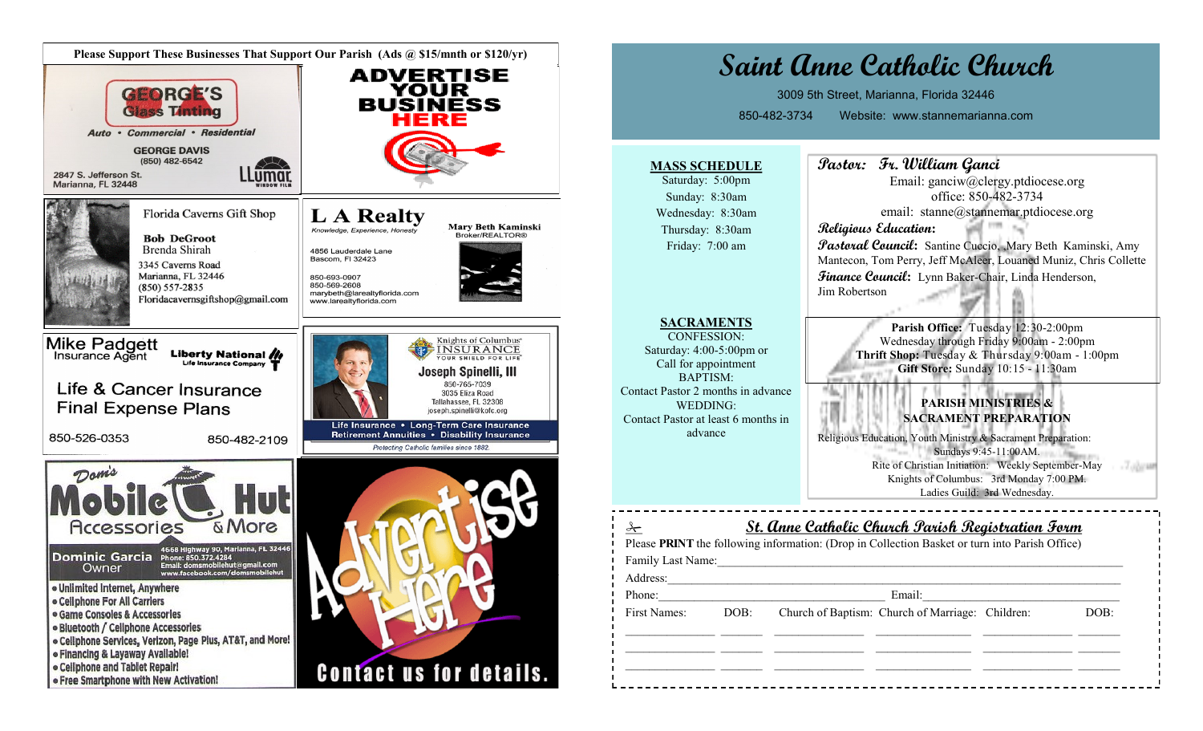

| Saint Anne Catholic Church<br>3009 5th Street, Marianna, Florida 32446<br>Website: www.stannemarianna.com<br>850-482-3734                                                                                                                                                                                                             |                                                                                                                                                                                                                                                                                                                                                                                                                                                                                                                                                                                                                                                                                                                                                                                                                                                          |
|---------------------------------------------------------------------------------------------------------------------------------------------------------------------------------------------------------------------------------------------------------------------------------------------------------------------------------------|----------------------------------------------------------------------------------------------------------------------------------------------------------------------------------------------------------------------------------------------------------------------------------------------------------------------------------------------------------------------------------------------------------------------------------------------------------------------------------------------------------------------------------------------------------------------------------------------------------------------------------------------------------------------------------------------------------------------------------------------------------------------------------------------------------------------------------------------------------|
| <b>MASS SCHEDULE</b><br>Saturday: 5:00pm<br>Sunday: 8:30am<br>Wednesday: 8:30am<br>Thursday: 8:30am<br>Friday: 7:00 am<br>SACRAMENTS<br><b>CONFESSION:</b><br>Saturday: 4:00-5:00pm or<br>Call for appointment<br><b>BAPTISM:</b><br>Contact Pastor 2 months in advance<br>WEDDING:<br>Contact Pastor at least 6 months in<br>advance | Pastor: Fr. William Ganci<br>Email: ganciw@clergy.ptdiocese.org<br>office: 850-482-3734<br>email: stanne@stannemar.ptdiocese.org<br>Religious Education:<br><b><i>Pastoral Council:</i></b> Santine Cuccio, Mary Beth Kaminski, Amy<br>Mantecon, Tom Perry, Jeff McAleer, Louaned Muniz, Chris Collette<br>Finance Council: Lynn Baker-Chair, Linda Henderson,<br>Jim Robertson<br>Parish Office: Tuesday 12:30-2:00pm<br>Wednesday through Friday 9:00am - 2:00pm<br>Thrift Shop: Tuesday & Thursday 9:00am - 1:00pm<br>Gift Store: Sunday 10:15 - 11:30am<br><b>PARISH MINISTRIES &amp;</b><br><b>SACRAMENT PREPARATION</b><br>Religious Education, Youth Ministry & Sacrament Preparation:<br>Sundays 9:45-11:00AM.<br>Rite of Christian Initiation: Weekly September-May<br>Knights of Columbus: 3rd Monday 7:00 PM.<br>Ladies Guild: 3rd Wednesday. |
| $\lambda$<br>Family Last Name: 1988 Manual Manual Manual Manual Manual Manual Manual Manual Manual Manual Manual Manual Manual Manual Manual Manual Manual Manual Manual Manual Manual Manual Manual Manual Manual Manual Manual Manual Man<br>Phone:                                                                                 | <u>St. Anne Catholic Church Parish Registration Form</u><br>Please PRINT the following information: (Drop in Collection Basket or turn into Parish Office)<br>Email:                                                                                                                                                                                                                                                                                                                                                                                                                                                                                                                                                                                                                                                                                     |
|                                                                                                                                                                                                                                                                                                                                       | First Names: DOB: Church of Baptism: Church of Marriage: Children:<br>DOB:                                                                                                                                                                                                                                                                                                                                                                                                                                                                                                                                                                                                                                                                                                                                                                               |